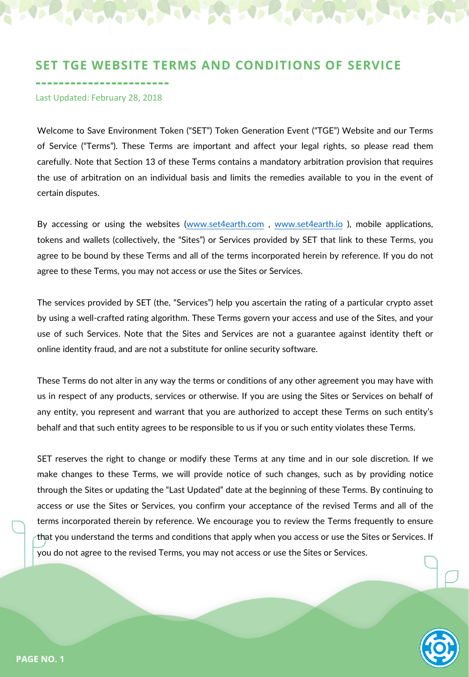# **SET TGE WEBSITE TERMS AND CONDITIONS OF SERVICE**

**COLORADO** 

**-----------------------** Last Updated: February 28, 2018

**COMPO DE LA PROPERTA** 

Welcome to Save Environment Token ("SET") Token Generation Event ("TGE") Website and our Terms of Service ("Terms"). These Terms are important and affect your legal rights, so please read them carefully. Note that Section 13 of these Terms contains a mandatory arbitration provision that requires the use of arbitration on an individual basis and limits the remedies available to you in the event of certain disputes.

By accessing or using the websites ([www.set4earth.com](http://www.set4earth.com/) , [www.set4earth.io](http://www.set4earth.io/) ), mobile applications, tokens and wallets (collectively, the "Sites") or Services provided by SET that link to these Terms, you agree to be bound by these Terms and all of the terms incorporated herein by reference. If you do not agree to these Terms, you may not access or use the Sites or Services.

The services provided by SET (the, "Services") help you ascertain the rating of a particular crypto asset by using a well-crafted rating algorithm. These Terms govern your access and use of the Sites, and your use of such Services. Note that the Sites and Services are not a guarantee against identity theft or online identity fraud, and are not a substitute for online security software.

These Terms do not alter in any way the terms or conditions of any other agreement you may have with us in respect of any products, services or otherwise. If you are using the Sites or Services on behalf of any entity, you represent and warrant that you are authorized to accept these Terms on such entity's behalf and that such entity agrees to be responsible to us if you or such entity violates these Terms.

SET reserves the right to change or modify these Terms at any time and in our sole discretion. If we make changes to these Terms, we will provide notice of such changes, such as by providing notice through the Sites or updating the "Last Updated" date at the beginning of these Terms. By continuing to access or use the Sites or Services, you confirm your acceptance of the revised Terms and all of the terms incorporated therein by reference. We encourage you to review the Terms frequently to ensure that you understand the terms and conditions that apply when you access or use the Sites or Services. If you do not agree to the revised Terms, you may not access or use the Sites or Services.

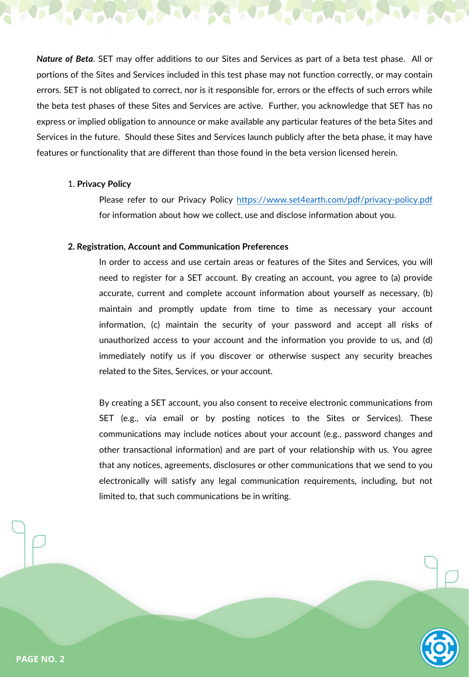*Nature of Beta*. SET may offer additions to our Sites and Services as part of a beta test phase. All or portions of the Sites and Services included in this test phase may not function correctly, or may contain errors. SET is not obligated to correct, nor is it responsible for, errors or the effects of such errors while the beta test phases of these Sites and Services are active. Further, you acknowledge that SET has no express or implied obligation to announce or make available any particular features of the beta Sites and Services in the future. Should these Sites and Services launch publicly after the beta phase, it may have features or functionality that are different than those found in the beta version licensed herein.

### 1. **Privacy Policy**

To Martin

Please refer to our Privacy Policy <https://www.set4earth.com/pdf/privacy-policy.pdf> for information about how we collect, use and disclose information about you.

**BOOK DOWNER** 

### **2. Registration, Account and Communication Preferences**

**LOVE** 

In order to access and use certain areas or features of the Sites and Services, you will need to register for a SET account. By creating an account, you agree to (a) provide accurate, current and complete account information about yourself as necessary, (b) maintain and promptly update from time to time as necessary your account information, (c) maintain the security of your password and accept all risks of unauthorized access to your account and the information you provide to us, and (d) immediately notify us if you discover or otherwise suspect any security breaches related to the Sites, Services, or your account.

By creating a SET account, you also consent to receive electronic communications from SET (e.g., via email or by posting notices to the Sites or Services). These communications may include notices about your account (e.g., password changes and other transactional information) and are part of your relationship with us. You agree that any notices, agreements, disclosures or other communications that we send to you electronically will satisfy any legal communication requirements, including, but not limited to, that such communications be in writing.

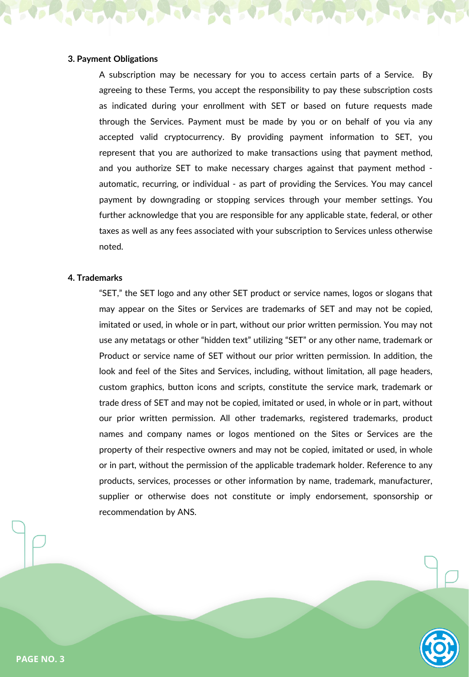# **3. Payment Obligations**

A subscription may be necessary for you to access certain parts of a Service. By agreeing to these Terms, you accept the responsibility to pay these subscription costs as indicated during your enrollment with SET or based on future requests made through the Services. Payment must be made by you or on behalf of you via any accepted valid cryptocurrency. By providing payment information to SET, you represent that you are authorized to make transactions using that payment method, and you authorize SET to make necessary charges against that payment method automatic, recurring, or individual - as part of providing the Services. You may cancel payment by downgrading or stopping services through your member settings. You further acknowledge that you are responsible for any applicable state, federal, or other taxes as well as any fees associated with your subscription to Services unless otherwise noted.

#### **4. Trademarks**

"SET," the SET logo and any other SET product or service names, logos or slogans that may appear on the Sites or Services are trademarks of SET and may not be copied, imitated or used, in whole or in part, without our prior written permission. You may not use any metatags or other "hidden text" utilizing "SET" or any other name, trademark or Product or service name of SET without our prior written permission. In addition, the look and feel of the Sites and Services, including, without limitation, all page headers, custom graphics, button icons and scripts, constitute the service mark, trademark or trade dress of SET and may not be copied, imitated or used, in whole or in part, without our prior written permission. All other trademarks, registered trademarks, product names and company names or logos mentioned on the Sites or Services are the property of their respective owners and may not be copied, imitated or used, in whole or in part, without the permission of the applicable trademark holder. Reference to any products, services, processes or other information by name, trademark, manufacturer, supplier or otherwise does not constitute or imply endorsement, sponsorship or recommendation by ANS.

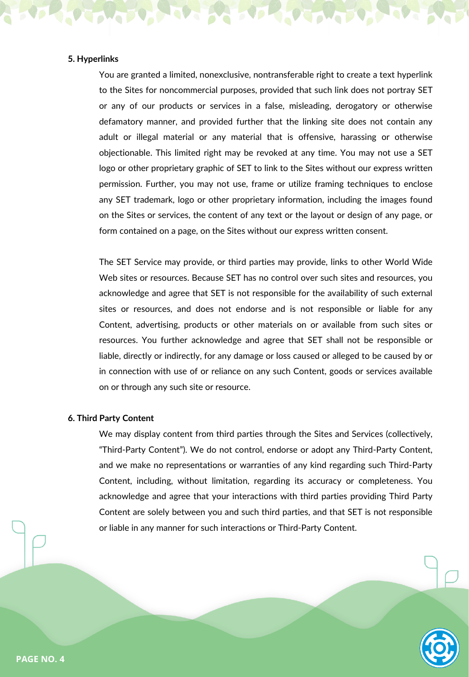# **5. Hyperlinks**

You are granted a limited, nonexclusive, nontransferable right to create a text hyperlink to the Sites for noncommercial purposes, provided that such link does not portray SET or any of our products or services in a false, misleading, derogatory or otherwise defamatory manner, and provided further that the linking site does not contain any adult or illegal material or any material that is offensive, harassing or otherwise objectionable. This limited right may be revoked at any time. You may not use a SET logo or other proprietary graphic of SET to link to the Sites without our express written permission. Further, you may not use, frame or utilize framing techniques to enclose any SET trademark, logo or other proprietary information, including the images found on the Sites or services, the content of any text or the layout or design of any page, or form contained on a page, on the Sites without our express written consent.

The SET Service may provide, or third parties may provide, links to other World Wide Web sites or resources. Because SET has no control over such sites and resources, you acknowledge and agree that SET is not responsible for the availability of such external sites or resources, and does not endorse and is not responsible or liable for any Content, advertising, products or other materials on or available from such sites or resources. You further acknowledge and agree that SET shall not be responsible or liable, directly or indirectly, for any damage or loss caused or alleged to be caused by or in connection with use of or reliance on any such Content, goods or services available on or through any such site or resource.

#### **6. Third Party Content**

We may display content from third parties through the Sites and Services (collectively, "Third-Party Content"). We do not control, endorse or adopt any Third-Party Content, and we make no representations or warranties of any kind regarding such Third-Party Content, including, without limitation, regarding its accuracy or completeness. You acknowledge and agree that your interactions with third parties providing Third Party Content are solely between you and such third parties, and that SET is not responsible or liable in any manner for such interactions or Third-Party Content.

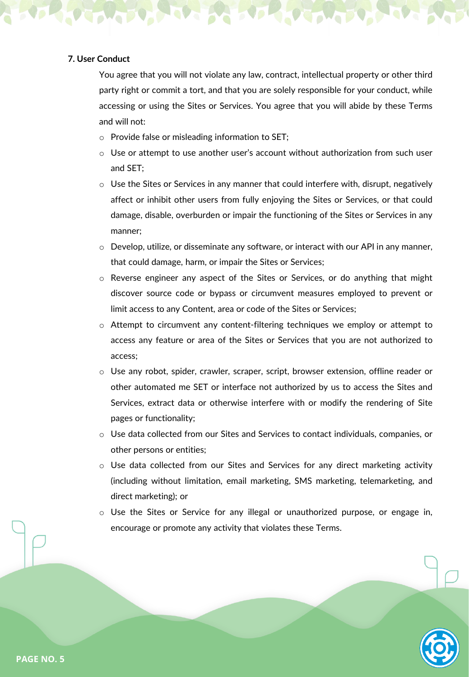# **7. User Conduct**

You agree that you will not violate any law, contract, intellectual property or other third party right or commit a tort, and that you are solely responsible for your conduct, while accessing or using the Sites or Services. You agree that you will abide by these Terms and will not:

- o Provide false or misleading information to SET;
- $\circ$  Use or attempt to use another user's account without authorization from such user and SET;
- $\circ$  Use the Sites or Services in any manner that could interfere with, disrupt, negatively affect or inhibit other users from fully enjoying the Sites or Services, or that could damage, disable, overburden or impair the functioning of the Sites or Services in any manner;
- $\circ$  Develop, utilize, or disseminate any software, or interact with our API in any manner, that could damage, harm, or impair the Sites or Services;
- o Reverse engineer any aspect of the Sites or Services, or do anything that might discover source code or bypass or circumvent measures employed to prevent or limit access to any Content, area or code of the Sites or Services;
- $\circ$  Attempt to circumvent any content-filtering techniques we employ or attempt to access any feature or area of the Sites or Services that you are not authorized to access;
- o Use any robot, spider, crawler, scraper, script, browser extension, offline reader or other automated me SET or interface not authorized by us to access the Sites and Services, extract data or otherwise interfere with or modify the rendering of Site pages or functionality;
- o Use data collected from our Sites and Services to contact individuals, companies, or other persons or entities;
- o Use data collected from our Sites and Services for any direct marketing activity (including without limitation, email marketing, SMS marketing, telemarketing, and direct marketing); or
- o Use the Sites or Service for any illegal or unauthorized purpose, or engage in, encourage or promote any activity that violates these Terms.

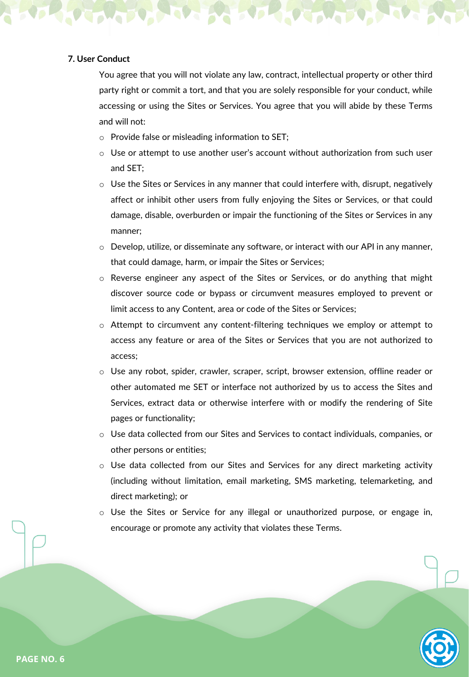# **7. User Conduct**

You agree that you will not violate any law, contract, intellectual property or other third party right or commit a tort, and that you are solely responsible for your conduct, while accessing or using the Sites or Services. You agree that you will abide by these Terms and will not:

- o Provide false or misleading information to SET;
- $\circ$  Use or attempt to use another user's account without authorization from such user and SET;
- $\circ$  Use the Sites or Services in any manner that could interfere with, disrupt, negatively affect or inhibit other users from fully enjoying the Sites or Services, or that could damage, disable, overburden or impair the functioning of the Sites or Services in any manner;
- $\circ$  Develop, utilize, or disseminate any software, or interact with our API in any manner, that could damage, harm, or impair the Sites or Services;
- o Reverse engineer any aspect of the Sites or Services, or do anything that might discover source code or bypass or circumvent measures employed to prevent or limit access to any Content, area or code of the Sites or Services;
- $\circ$  Attempt to circumvent any content-filtering techniques we employ or attempt to access any feature or area of the Sites or Services that you are not authorized to access;
- o Use any robot, spider, crawler, scraper, script, browser extension, offline reader or other automated me SET or interface not authorized by us to access the Sites and Services, extract data or otherwise interfere with or modify the rendering of Site pages or functionality;
- o Use data collected from our Sites and Services to contact individuals, companies, or other persons or entities;
- o Use data collected from our Sites and Services for any direct marketing activity (including without limitation, email marketing, SMS marketing, telemarketing, and direct marketing); or
- o Use the Sites or Service for any illegal or unauthorized purpose, or engage in, encourage or promote any activity that violates these Terms.

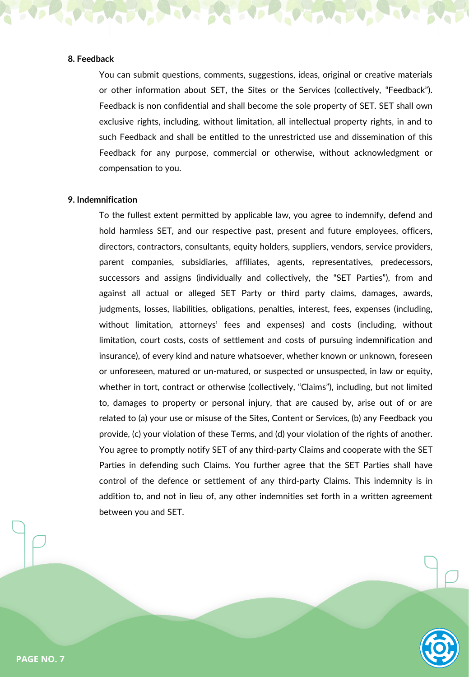# **8. Feedback**

You can submit questions, comments, suggestions, ideas, original or creative materials or other information about SET, the Sites or the Services (collectively, "Feedback"). Feedback is non confidential and shall become the sole property of SET. SET shall own exclusive rights, including, without limitation, all intellectual property rights, in and to such Feedback and shall be entitled to the unrestricted use and dissemination of this Feedback for any purpose, commercial or otherwise, without acknowledgment or compensation to you.

# **9. Indemnification**

To the fullest extent permitted by applicable law, you agree to indemnify, defend and hold harmless SET, and our respective past, present and future employees, officers, directors, contractors, consultants, equity holders, suppliers, vendors, service providers, parent companies, subsidiaries, affiliates, agents, representatives, predecessors, successors and assigns (individually and collectively, the "SET Parties"), from and against all actual or alleged SET Party or third party claims, damages, awards, judgments, losses, liabilities, obligations, penalties, interest, fees, expenses (including, without limitation, attorneys' fees and expenses) and costs (including, without limitation, court costs, costs of settlement and costs of pursuing indemnification and insurance), of every kind and nature whatsoever, whether known or unknown, foreseen or unforeseen, matured or un-matured, or suspected or unsuspected, in law or equity, whether in tort, contract or otherwise (collectively, "Claims"), including, but not limited to, damages to property or personal injury, that are caused by, arise out of or are related to (a) your use or misuse of the Sites, Content or Services, (b) any Feedback you provide, (c) your violation of these Terms, and (d) your violation of the rights of another. You agree to promptly notify SET of any third-party Claims and cooperate with the SET Parties in defending such Claims. You further agree that the SET Parties shall have control of the defence or settlement of any third-party Claims. This indemnity is in addition to, and not in lieu of, any other indemnities set forth in a written agreement between you and SET.

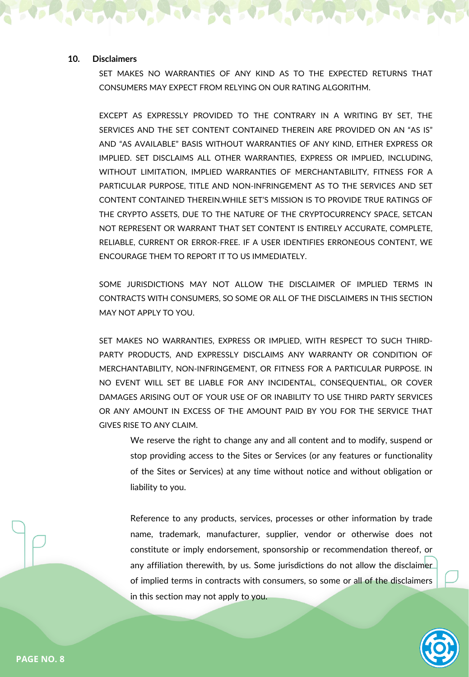# **10. Disclaimers**

SET MAKES NO WARRANTIES OF ANY KIND AS TO THE EXPECTED RETURNS THAT CONSUMERS MAY EXPECT FROM RELYING ON OUR RATING ALGORITHM.

EXCEPT AS EXPRESSLY PROVIDED TO THE CONTRARY IN A WRITING BY SET, THE SERVICES AND THE SET CONTENT CONTAINED THEREIN ARE PROVIDED ON AN "AS IS" AND "AS AVAILABLE" BASIS WITHOUT WARRANTIES OF ANY KIND, EITHER EXPRESS OR IMPLIED. SET DISCLAIMS ALL OTHER WARRANTIES, EXPRESS OR IMPLIED, INCLUDING, WITHOUT LIMITATION, IMPLIED WARRANTIES OF MERCHANTABILITY, FITNESS FOR A PARTICULAR PURPOSE, TITLE AND NON-INFRINGEMENT AS TO THE SERVICES AND SET CONTENT CONTAINED THEREIN.WHILE SET'S MISSION IS TO PROVIDE TRUE RATINGS OF THE CRYPTO ASSETS, DUE TO THE NATURE OF THE CRYPTOCURRENCY SPACE, SETCAN NOT REPRESENT OR WARRANT THAT SET CONTENT IS ENTIRELY ACCURATE, COMPLETE, RELIABLE, CURRENT OR ERROR-FREE. IF A USER IDENTIFIES ERRONEOUS CONTENT, WE ENCOURAGE THEM TO REPORT IT TO US IMMEDIATELY.

SOME JURISDICTIONS MAY NOT ALLOW THE DISCLAIMER OF IMPLIED TERMS IN CONTRACTS WITH CONSUMERS, SO SOME OR ALL OF THE DISCLAIMERS IN THIS SECTION MAY NOT APPLY TO YOU.

SET MAKES NO WARRANTIES, EXPRESS OR IMPLIED, WITH RESPECT TO SUCH THIRD-PARTY PRODUCTS, AND EXPRESSLY DISCLAIMS ANY WARRANTY OR CONDITION OF MERCHANTABILITY, NON-INFRINGEMENT, OR FITNESS FOR A PARTICULAR PURPOSE. IN NO EVENT WILL SET BE LIABLE FOR ANY INCIDENTAL, CONSEQUENTIAL, OR COVER DAMAGES ARISING OUT OF YOUR USE OF OR INABILITY TO USE THIRD PARTY SERVICES OR ANY AMOUNT IN EXCESS OF THE AMOUNT PAID BY YOU FOR THE SERVICE THAT GIVES RISE TO ANY CLAIM.

We reserve the right to change any and all content and to modify, suspend or stop providing access to the Sites or Services (or any features or functionality of the Sites or Services) at any time without notice and without obligation or liability to you.

Reference to any products, services, processes or other information by trade name, trademark, manufacturer, supplier, vendor or otherwise does not constitute or imply endorsement, sponsorship or recommendation thereof, or any affiliation therewith, by us. Some jurisdictions do not allow the disclaimer of implied terms in contracts with consumers, so some or all of the disclaimers in this section may not apply to you.

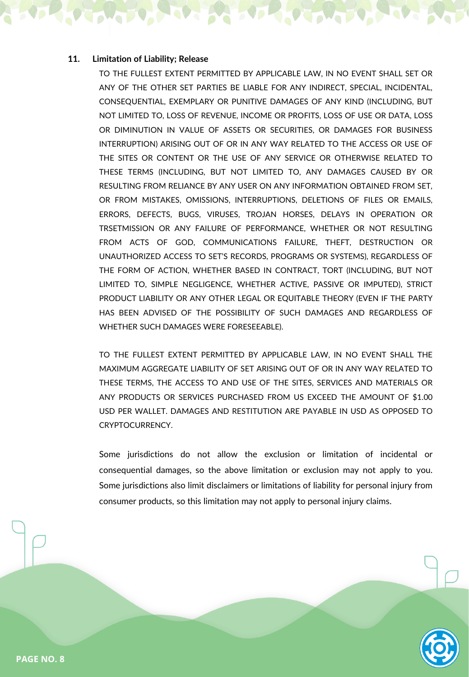# **11. Limitation of Liability; Release**

TO THE FULLEST EXTENT PERMITTED BY APPLICABLE LAW, IN NO EVENT SHALL SET OR ANY OF THE OTHER SET PARTIES BE LIABLE FOR ANY INDIRECT, SPECIAL, INCIDENTAL, CONSEQUENTIAL, EXEMPLARY OR PUNITIVE DAMAGES OF ANY KIND (INCLUDING, BUT NOT LIMITED TO, LOSS OF REVENUE, INCOME OR PROFITS, LOSS OF USE OR DATA, LOSS OR DIMINUTION IN VALUE OF ASSETS OR SECURITIES, OR DAMAGES FOR BUSINESS INTERRUPTION) ARISING OUT OF OR IN ANY WAY RELATED TO THE ACCESS OR USE OF THE SITES OR CONTENT OR THE USE OF ANY SERVICE OR OTHERWISE RELATED TO THESE TERMS (INCLUDING, BUT NOT LIMITED TO, ANY DAMAGES CAUSED BY OR RESULTING FROM RELIANCE BY ANY USER ON ANY INFORMATION OBTAINED FROM SET, OR FROM MISTAKES, OMISSIONS, INTERRUPTIONS, DELETIONS OF FILES OR EMAILS, ERRORS, DEFECTS, BUGS, VIRUSES, TROJAN HORSES, DELAYS IN OPERATION OR TRSETMISSION OR ANY FAILURE OF PERFORMANCE, WHETHER OR NOT RESULTING FROM ACTS OF GOD, COMMUNICATIONS FAILURE, THEFT, DESTRUCTION OR UNAUTHORIZED ACCESS TO SET'S RECORDS, PROGRAMS OR SYSTEMS), REGARDLESS OF THE FORM OF ACTION, WHETHER BASED IN CONTRACT, TORT (INCLUDING, BUT NOT LIMITED TO, SIMPLE NEGLIGENCE, WHETHER ACTIVE, PASSIVE OR IMPUTED), STRICT PRODUCT LIABILITY OR ANY OTHER LEGAL OR EQUITABLE THEORY (EVEN IF THE PARTY HAS BEEN ADVISED OF THE POSSIBILITY OF SUCH DAMAGES AND REGARDLESS OF WHETHER SUCH DAMAGES WERE FORESEEABLE).

TO THE FULLEST EXTENT PERMITTED BY APPLICABLE LAW, IN NO EVENT SHALL THE MAXIMUM AGGREGATE LIABILITY OF SET ARISING OUT OF OR IN ANY WAY RELATED TO THESE TERMS, THE ACCESS TO AND USE OF THE SITES, SERVICES AND MATERIALS OR ANY PRODUCTS OR SERVICES PURCHASED FROM US EXCEED THE AMOUNT OF \$1.00 USD PER WALLET. DAMAGES AND RESTITUTION ARE PAYABLE IN USD AS OPPOSED TO CRYPTOCURRENCY.

Some jurisdictions do not allow the exclusion or limitation of incidental or consequential damages, so the above limitation or exclusion may not apply to you. Some jurisdictions also limit disclaimers or limitations of liability for personal injury from consumer products, so this limitation may not apply to personal injury claims.

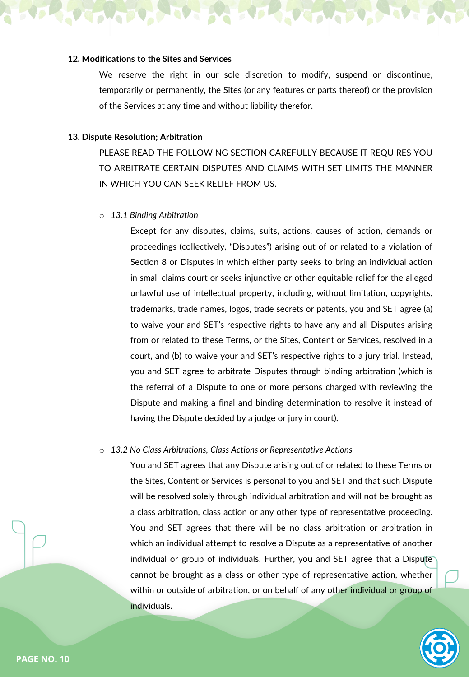# **12. Modifications to the Sites and Services**

We reserve the right in our sole discretion to modify, suspend or discontinue, temporarily or permanently, the Sites (or any features or parts thereof) or the provision of the Services at any time and without liability therefor.

# **13. Dispute Resolution; Arbitration**

PLEASE READ THE FOLLOWING SECTION CAREFULLY BECAUSE IT REQUIRES YOU TO ARBITRATE CERTAIN DISPUTES AND CLAIMS WITH SET LIMITS THE MANNER IN WHICH YOU CAN SEEK RELIEF FROM US.

o *13.1 Binding Arbitration*

Except for any disputes, claims, suits, actions, causes of action, demands or proceedings (collectively, "Disputes") arising out of or related to a violation of Section 8 or Disputes in which either party seeks to bring an individual action in small claims court or seeks injunctive or other equitable relief for the alleged unlawful use of intellectual property, including, without limitation, copyrights, trademarks, trade names, logos, trade secrets or patents, you and SET agree (a) to waive your and SET's respective rights to have any and all Disputes arising from or related to these Terms, or the Sites, Content or Services, resolved in a court, and (b) to waive your and SET's respective rights to a jury trial. Instead, you and SET agree to arbitrate Disputes through binding arbitration (which is the referral of a Dispute to one or more persons charged with reviewing the Dispute and making a final and binding determination to resolve it instead of having the Dispute decided by a judge or jury in court).

### o *13.2 No Class Arbitrations, Class Actions or Representative Actions*

You and SET agrees that any Dispute arising out of or related to these Terms or the Sites, Content or Services is personal to you and SET and that such Dispute will be resolved solely through individual arbitration and will not be brought as a class arbitration, class action or any other type of representative proceeding. You and SET agrees that there will be no class arbitration or arbitration in which an individual attempt to resolve a Dispute as a representative of another individual or group of individuals. Further, you and SET agree that a Dispute cannot be brought as a class or other type of representative action, whether within or outside of arbitration, or on behalf of any other individual or group of individuals.

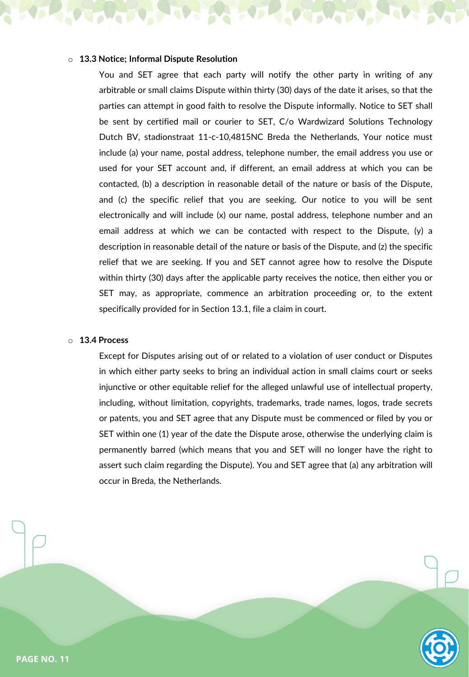# o **13.3 Notice; Informal Dispute Resolution**

You and SET agree that each party will notify the other party in writing of any arbitrable or small claims Dispute within thirty (30) days of the date it arises, so that the parties can attempt in good faith to resolve the Dispute informally. Notice to SET shall be sent by certified mail or courier to SET, C/o Wardwizard Solutions Technology Dutch BV, stadionstraat 11-c-10,4815NC Breda the Netherlands, Your notice must include (a) your name, postal address, telephone number, the email address you use or used for your SET account and, if different, an email address at which you can be contacted, (b) a description in reasonable detail of the nature or basis of the Dispute, and (c) the specific relief that you are seeking. Our notice to you will be sent electronically and will include (x) our name, postal address, telephone number and an email address at which we can be contacted with respect to the Dispute, (y) a description in reasonable detail of the nature or basis of the Dispute, and (z) the specific relief that we are seeking. If you and SET cannot agree how to resolve the Dispute within thirty (30) days after the applicable party receives the notice, then either you or SET may, as appropriate, commence an arbitration proceeding or, to the extent specifically provided for in Section 13.1, file a claim in court.

**USANTO** 

### o **13.4 Process**

Except for Disputes arising out of or related to a violation of user conduct or Disputes in which either party seeks to bring an individual action in small claims court or seeks injunctive or other equitable relief for the alleged unlawful use of intellectual property, including, without limitation, copyrights, trademarks, trade names, logos, trade secrets or patents, you and SET agree that any Dispute must be commenced or filed by you or SET within one (1) year of the date the Dispute arose, otherwise the underlying claim is permanently barred (which means that you and SET will no longer have the right to assert such claim regarding the Dispute). You and SET agree that (a) any arbitration will occur in Breda, the Netherlands.



**PAGE NO. 11**